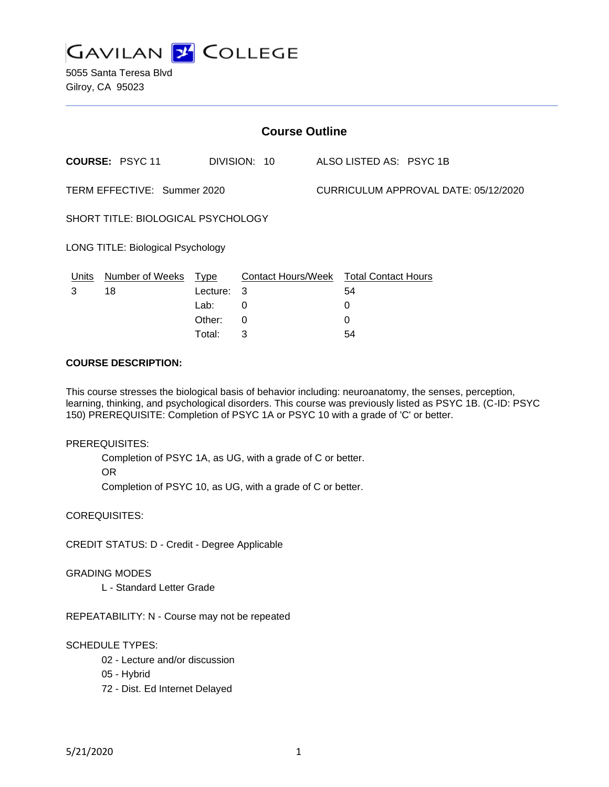

5055 Santa Teresa Blvd Gilroy, CA 95023

| <b>Course Outline</b>                    |                       |            |                                        |  |                                      |  |  |
|------------------------------------------|-----------------------|------------|----------------------------------------|--|--------------------------------------|--|--|
|                                          | <b>COURSE: PSYC11</b> |            | DIVISION: 10                           |  | ALSO LISTED AS: PSYC 1B              |  |  |
| TERM EFFECTIVE: Summer 2020              |                       |            |                                        |  | CURRICULUM APPROVAL DATE: 05/12/2020 |  |  |
| SHORT TITLE: BIOLOGICAL PSYCHOLOGY       |                       |            |                                        |  |                                      |  |  |
| <b>LONG TITLE: Biological Psychology</b> |                       |            |                                        |  |                                      |  |  |
| Units                                    | Number of Weeks Type  |            | Contact Hours/Week Total Contact Hours |  |                                      |  |  |
| 3                                        | 18                    | Lecture: 3 |                                        |  | 54                                   |  |  |
|                                          |                       | Lab:       | 0                                      |  | 0                                    |  |  |
|                                          |                       | Other:     | 0                                      |  | 0                                    |  |  |
|                                          |                       | Total:     | 3                                      |  | 54                                   |  |  |

#### **COURSE DESCRIPTION:**

This course stresses the biological basis of behavior including: neuroanatomy, the senses, perception, learning, thinking, and psychological disorders. This course was previously listed as PSYC 1B. (C-ID: PSYC 150) PREREQUISITE: Completion of PSYC 1A or PSYC 10 with a grade of 'C' or better.

PREREQUISITES:

Completion of PSYC 1A, as UG, with a grade of C or better. OR

Completion of PSYC 10, as UG, with a grade of C or better.

COREQUISITES:

CREDIT STATUS: D - Credit - Degree Applicable

GRADING MODES

L - Standard Letter Grade

REPEATABILITY: N - Course may not be repeated

SCHEDULE TYPES:

- 02 Lecture and/or discussion
- 05 Hybrid
- 72 Dist. Ed Internet Delayed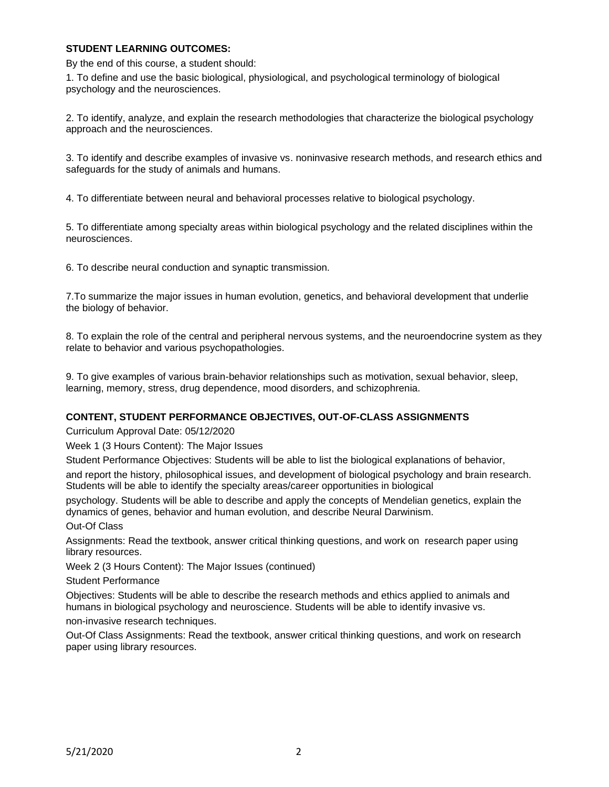## **STUDENT LEARNING OUTCOMES:**

By the end of this course, a student should:

1. To define and use the basic biological, physiological, and psychological terminology of biological psychology and the neurosciences.

2. To identify, analyze, and explain the research methodologies that characterize the biological psychology approach and the neurosciences.

3. To identify and describe examples of invasive vs. noninvasive research methods, and research ethics and safeguards for the study of animals and humans.

4. To differentiate between neural and behavioral processes relative to biological psychology.

5. To differentiate among specialty areas within biological psychology and the related disciplines within the neurosciences.

6. To describe neural conduction and synaptic transmission.

7.To summarize the major issues in human evolution, genetics, and behavioral development that underlie the biology of behavior.

8. To explain the role of the central and peripheral nervous systems, and the neuroendocrine system as they relate to behavior and various psychopathologies.

9. To give examples of various brain-behavior relationships such as motivation, sexual behavior, sleep, learning, memory, stress, drug dependence, mood disorders, and schizophrenia.

## **CONTENT, STUDENT PERFORMANCE OBJECTIVES, OUT-OF-CLASS ASSIGNMENTS**

Curriculum Approval Date: 05/12/2020

Week 1 (3 Hours Content): The Major Issues

Student Performance Objectives: Students will be able to list the biological explanations of behavior,

and report the history, philosophical issues, and development of biological psychology and brain research. Students will be able to identify the specialty areas/career opportunities in biological

psychology. Students will be able to describe and apply the concepts of Mendelian genetics, explain the dynamics of genes, behavior and human evolution, and describe Neural Darwinism.

Out-Of Class

Assignments: Read the textbook, answer critical thinking questions, and work on research paper using library resources.

Week 2 (3 Hours Content): The Major Issues (continued)

Student Performance

Objectives: Students will be able to describe the research methods and ethics applied to animals and humans in biological psychology and neuroscience. Students will be able to identify invasive vs.

non-invasive research techniques.

Out-Of Class Assignments: Read the textbook, answer critical thinking questions, and work on research paper using library resources.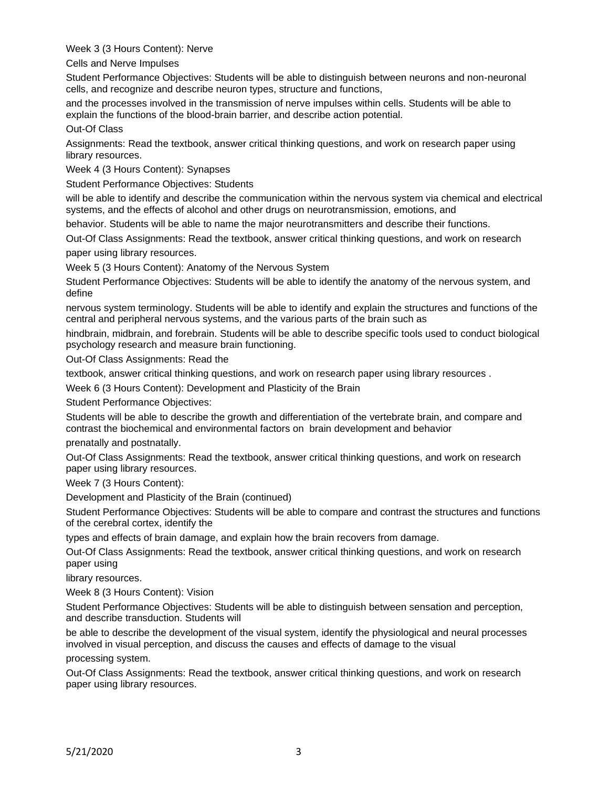Week 3 (3 Hours Content): Nerve

Cells and Nerve Impulses

Student Performance Objectives: Students will be able to distinguish between neurons and non-neuronal cells, and recognize and describe neuron types, structure and functions,

and the processes involved in the transmission of nerve impulses within cells. Students will be able to explain the functions of the blood-brain barrier, and describe action potential.

Out-Of Class

Assignments: Read the textbook, answer critical thinking questions, and work on research paper using library resources.

Week 4 (3 Hours Content): Synapses

Student Performance Objectives: Students

will be able to identify and describe the communication within the nervous system via chemical and electrical systems, and the effects of alcohol and other drugs on neurotransmission, emotions, and

behavior. Students will be able to name the major neurotransmitters and describe their functions.

Out-Of Class Assignments: Read the textbook, answer critical thinking questions, and work on research paper using library resources.

Week 5 (3 Hours Content): Anatomy of the Nervous System

Student Performance Objectives: Students will be able to identify the anatomy of the nervous system, and define

nervous system terminology. Students will be able to identify and explain the structures and functions of the central and peripheral nervous systems, and the various parts of the brain such as

hindbrain, midbrain, and forebrain. Students will be able to describe specific tools used to conduct biological psychology research and measure brain functioning.

Out-Of Class Assignments: Read the

textbook, answer critical thinking questions, and work on research paper using library resources .

Week 6 (3 Hours Content): Development and Plasticity of the Brain

Student Performance Objectives:

Students will be able to describe the growth and differentiation of the vertebrate brain, and compare and contrast the biochemical and environmental factors on brain development and behavior

prenatally and postnatally.

Out-Of Class Assignments: Read the textbook, answer critical thinking questions, and work on research paper using library resources.

Week 7 (3 Hours Content):

Development and Plasticity of the Brain (continued)

Student Performance Objectives: Students will be able to compare and contrast the structures and functions of the cerebral cortex, identify the

types and effects of brain damage, and explain how the brain recovers from damage.

Out-Of Class Assignments: Read the textbook, answer critical thinking questions, and work on research paper using

library resources.

Week 8 (3 Hours Content): Vision

Student Performance Objectives: Students will be able to distinguish between sensation and perception, and describe transduction. Students will

be able to describe the development of the visual system, identify the physiological and neural processes involved in visual perception, and discuss the causes and effects of damage to the visual

processing system.

Out-Of Class Assignments: Read the textbook, answer critical thinking questions, and work on research paper using library resources.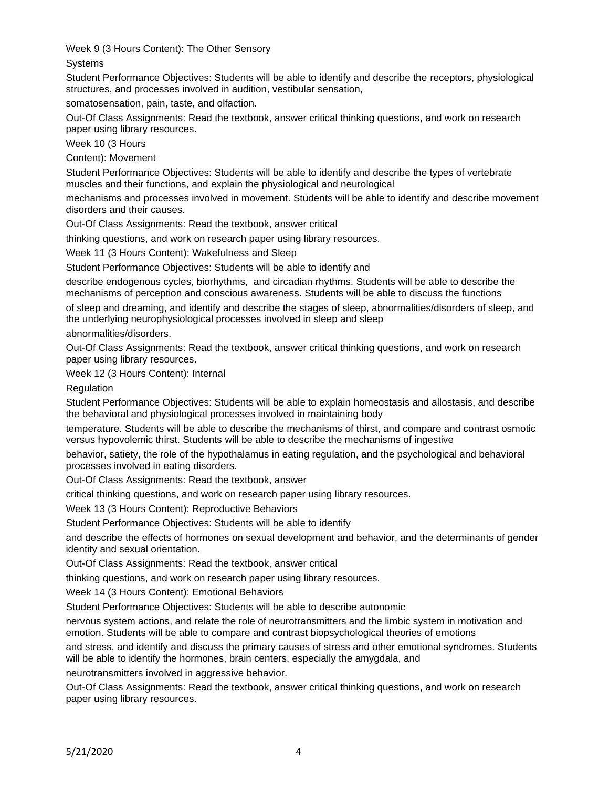Week 9 (3 Hours Content): The Other Sensory

**Systems** 

Student Performance Objectives: Students will be able to identify and describe the receptors, physiological structures, and processes involved in audition, vestibular sensation,

somatosensation, pain, taste, and olfaction.

Out-Of Class Assignments: Read the textbook, answer critical thinking questions, and work on research paper using library resources.

Week 10 (3 Hours

Content): Movement

Student Performance Objectives: Students will be able to identify and describe the types of vertebrate muscles and their functions, and explain the physiological and neurological

mechanisms and processes involved in movement. Students will be able to identify and describe movement disorders and their causes.

Out-Of Class Assignments: Read the textbook, answer critical

thinking questions, and work on research paper using library resources.

Week 11 (3 Hours Content): Wakefulness and Sleep

Student Performance Objectives: Students will be able to identify and

describe endogenous cycles, biorhythms, and circadian rhythms. Students will be able to describe the mechanisms of perception and conscious awareness. Students will be able to discuss the functions

of sleep and dreaming, and identify and describe the stages of sleep, abnormalities/disorders of sleep, and the underlying neurophysiological processes involved in sleep and sleep

abnormalities/disorders.

Out-Of Class Assignments: Read the textbook, answer critical thinking questions, and work on research paper using library resources.

Week 12 (3 Hours Content): Internal

Regulation

Student Performance Objectives: Students will be able to explain homeostasis and allostasis, and describe the behavioral and physiological processes involved in maintaining body

temperature. Students will be able to describe the mechanisms of thirst, and compare and contrast osmotic versus hypovolemic thirst. Students will be able to describe the mechanisms of ingestive

behavior, satiety, the role of the hypothalamus in eating regulation, and the psychological and behavioral processes involved in eating disorders.

Out-Of Class Assignments: Read the textbook, answer

critical thinking questions, and work on research paper using library resources.

Week 13 (3 Hours Content): Reproductive Behaviors

Student Performance Objectives: Students will be able to identify

and describe the effects of hormones on sexual development and behavior, and the determinants of gender identity and sexual orientation.

Out-Of Class Assignments: Read the textbook, answer critical

thinking questions, and work on research paper using library resources.

Week 14 (3 Hours Content): Emotional Behaviors

Student Performance Objectives: Students will be able to describe autonomic

nervous system actions, and relate the role of neurotransmitters and the limbic system in motivation and emotion. Students will be able to compare and contrast biopsychological theories of emotions

and stress, and identify and discuss the primary causes of stress and other emotional syndromes. Students will be able to identify the hormones, brain centers, especially the amygdala, and

neurotransmitters involved in aggressive behavior.

Out-Of Class Assignments: Read the textbook, answer critical thinking questions, and work on research paper using library resources.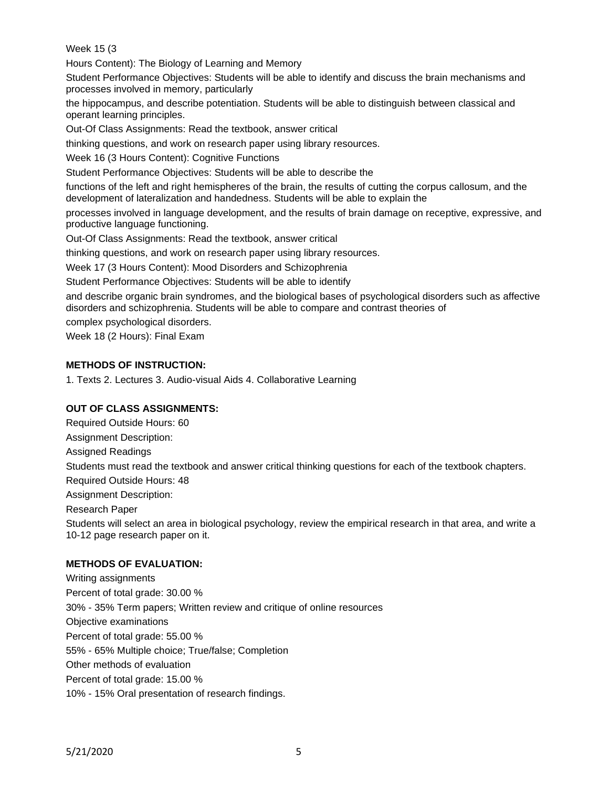Week 15 (3

Hours Content): The Biology of Learning and Memory

Student Performance Objectives: Students will be able to identify and discuss the brain mechanisms and processes involved in memory, particularly

the hippocampus, and describe potentiation. Students will be able to distinguish between classical and operant learning principles.

Out-Of Class Assignments: Read the textbook, answer critical

thinking questions, and work on research paper using library resources.

Week 16 (3 Hours Content): Cognitive Functions

Student Performance Objectives: Students will be able to describe the

functions of the left and right hemispheres of the brain, the results of cutting the corpus callosum, and the development of lateralization and handedness. Students will be able to explain the

processes involved in language development, and the results of brain damage on receptive, expressive, and productive language functioning.

Out-Of Class Assignments: Read the textbook, answer critical

thinking questions, and work on research paper using library resources.

Week 17 (3 Hours Content): Mood Disorders and Schizophrenia

Student Performance Objectives: Students will be able to identify

and describe organic brain syndromes, and the biological bases of psychological disorders such as affective disorders and schizophrenia. Students will be able to compare and contrast theories of

complex psychological disorders.

Week 18 (2 Hours): Final Exam

# **METHODS OF INSTRUCTION:**

1. Texts 2. Lectures 3. Audio-visual Aids 4. Collaborative Learning

# **OUT OF CLASS ASSIGNMENTS:**

Required Outside Hours: 60 Assignment Description: Assigned Readings Students must read the textbook and answer critical thinking questions for each of the textbook chapters. Required Outside Hours: 48 Assignment Description: Research Paper Students will select an area in biological psychology, review the empirical research in that area, and write a 10-12 page research paper on it.

# **METHODS OF EVALUATION:**

Writing assignments Percent of total grade: 30.00 % 30% - 35% Term papers; Written review and critique of online resources Objective examinations Percent of total grade: 55.00 % 55% - 65% Multiple choice; True/false; Completion Other methods of evaluation Percent of total grade: 15.00 % 10% - 15% Oral presentation of research findings.